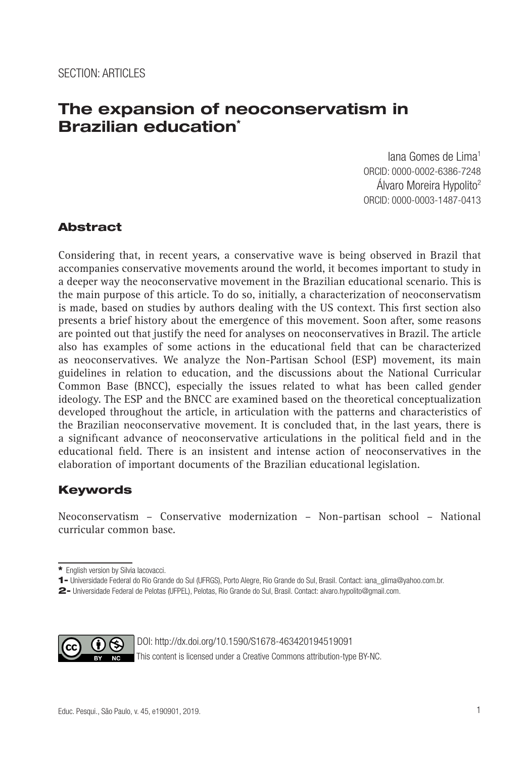# **The expansion of neoconservatism in Brazilian education\***

Iana Gomes de Lima1 ORCID: 0000-0002-6386-7248 Álvaro Moreira Hypolito2 ORCID: 0000-0003-1487-0413

## Abstract

Considering that, in recent years, a conservative wave is being observed in Brazil that accompanies conservative movements around the world, it becomes important to study in a deeper way the neoconservative movement in the Brazilian educational scenario. This is the main purpose of this article. To do so, initially, a characterization of neoconservatism is made, based on studies by authors dealing with the US context. This first section also presents a brief history about the emergence of this movement. Soon after, some reasons are pointed out that justify the need for analyses on neoconservatives in Brazil. The article also has examples of some actions in the educational field that can be characterized as neoconservatives. We analyze the Non-Partisan School (ESP) movement, its main guidelines in relation to education, and the discussions about the National Curricular Common Base (BNCC), especially the issues related to what has been called gender ideology. The ESP and the BNCC are examined based on the theoretical conceptualization developed throughout the article, in articulation with the patterns and characteristics of the Brazilian neoconservative movement. It is concluded that, in the last years, there is a significant advance of neoconservative articulations in the political field and in the educational field. There is an insistent and intense action of neoconservatives in the elaboration of important documents of the Brazilian educational legislation.

# Keywords

Neoconservatism – Conservative modernization – Non-partisan school – National curricular common base.

<sup>2-</sup> Universidade Federal de Pelotas (UFPEL), Pelotas, Rio Grande do Sul, Brasil. Contact: alvaro.hypolito@gmail.com.



DOI: http://dx.doi.org/10.1590/S1678-463420194519091

This content is licensed under a Creative Commons attribution-type BY-NC.

<sup>\*</sup> English version by Silvia Iacovacci.

<sup>1-</sup> Universidade Federal do Rio Grande do Sul (UFRGS), Porto Alegre, Rio Grande do Sul, Brasil. Contact: iana\_glima@yahoo.com.br.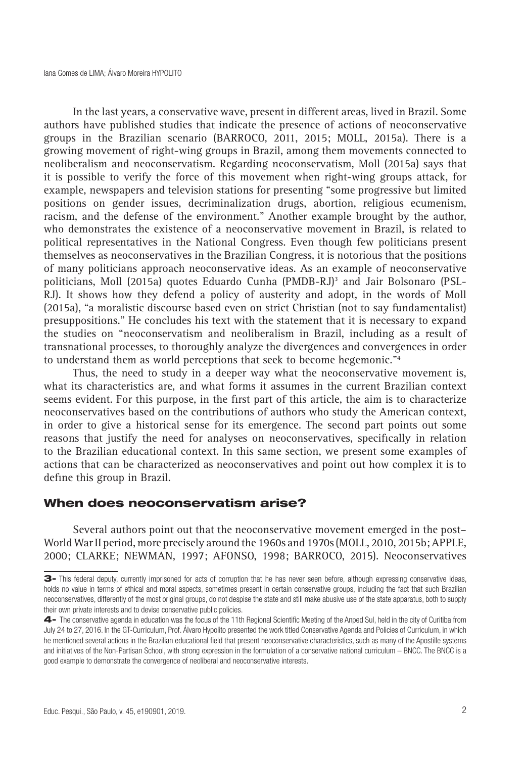In the last years, a conservative wave, present in different areas, lived in Brazil. Some authors have published studies that indicate the presence of actions of neoconservative groups in the Brazilian scenario (BARROCO, 2011, 2015; MOLL, 2015a). There is a growing movement of right-wing groups in Brazil, among them movements connected to neoliberalism and neoconservatism. Regarding neoconservatism, Moll (2015a) says that it is possible to verify the force of this movement when right-wing groups attack, for example, newspapers and television stations for presenting "some progressive but limited positions on gender issues, decriminalization drugs, abortion, religious ecumenism, racism, and the defense of the environment." Another example brought by the author, who demonstrates the existence of a neoconservative movement in Brazil, is related to political representatives in the National Congress. Even though few politicians present themselves as neoconservatives in the Brazilian Congress, it is notorious that the positions of many politicians approach neoconservative ideas. As an example of neoconservative politicians, Moll (2015a) quotes Eduardo Cunha (PMDB-RJ)<sup>3</sup> and Jair Bolsonaro (PSL-RJ). It shows how they defend a policy of austerity and adopt, in the words of Moll (2015a), "a moralistic discourse based even on strict Christian (not to say fundamentalist) presuppositions." He concludes his text with the statement that it is necessary to expand the studies on "neoconservatism and neoliberalism in Brazil, including as a result of transnational processes, to thoroughly analyze the divergences and convergences in order to understand them as world perceptions that seek to become hegemonic."4

Thus, the need to study in a deeper way what the neoconservative movement is, what its characteristics are, and what forms it assumes in the current Brazilian context seems evident. For this purpose, in the first part of this article, the aim is to characterize neoconservatives based on the contributions of authors who study the American context, in order to give a historical sense for its emergence. The second part points out some reasons that justify the need for analyses on neoconservatives, specifically in relation to the Brazilian educational context. In this same section, we present some examples of actions that can be characterized as neoconservatives and point out how complex it is to define this group in Brazil.

#### When does neoconservatism arise?

Several authors point out that the neoconservative movement emerged in the post– World War II period, more precisely around the 1960s and 1970s (MOLL, 2010, 2015b; APPLE, 2000; CLARKE; NEWMAN, 1997; AFONSO, 1998; BARROCO, 2015). Neoconservatives

<sup>3-</sup> This federal deputy, currently imprisoned for acts of corruption that he has never seen before, although expressing conservative ideas, holds no value in terms of ethical and moral aspects, sometimes present in certain conservative groups, including the fact that such Brazilian neoconservatives, differently of the most original groups, do not despise the state and still make abusive use of the state apparatus, both to supply their own private interests and to devise conservative public policies.

<sup>4-</sup> The conservative agenda in education was the focus of the 11th Regional Scientific Meeting of the Anped Sul, held in the city of Curitiba from July 24 to 27, 2016. In the GT-Curriculum, Prof. Álvaro Hypolito presented the work titled Conservative Agenda and Policies of Curriculum, in which he mentioned several actions in the Brazilian educational field that present neoconservative characteristics, such as many of the Apostille systems and initiatives of the Non-Partisan School, with strong expression in the formulation of a conservative national curriculum – BNCC. The BNCC is a good example to demonstrate the convergence of neoliberal and neoconservative interests.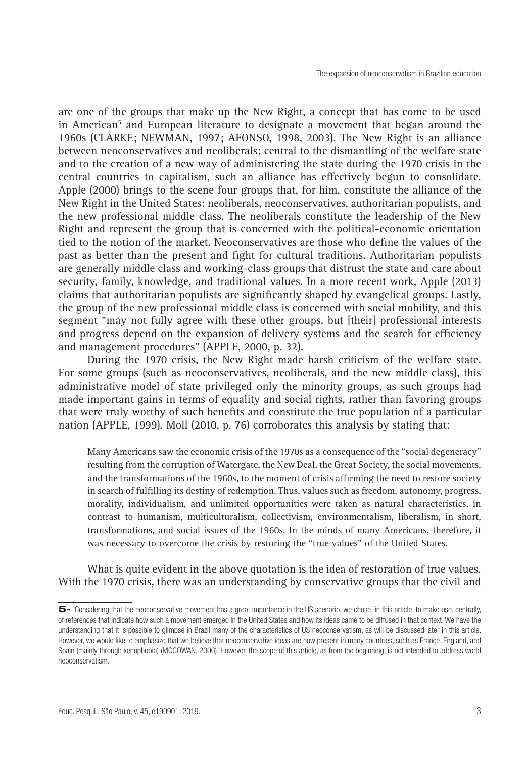are one of the groups that make up the New Right, a concept that has come to be used in American<sup>5</sup> and European literature to designate a movement that began around the 1960s (CLARKE; NEWMAN, 1997; AFONSO, 1998, 2003). The New Right is an alliance between neoconservatives and neoliberals; central to the dismantling of the welfare state and to the creation of a new way of administering the state during the 1970 crisis in the central countries to capitalism, such an alliance has effectively begun to consolidate. Apple (2000) brings to the scene four groups that, for him, constitute the alliance of the New Right in the United States: neoliberals, neoconservatives, authoritarian populists, and the new professional middle class. The neoliberals constitute the leadership of the New Right and represent the group that is concerned with the political-economic orientation tied to the notion of the market. Neoconservatives are those who define the values of the past as better than the present and fight for cultural traditions. Authoritarian populists are generally middle class and working-class groups that distrust the state and care about security, family, knowledge, and traditional values. In a more recent work, Apple (2013) claims that authoritarian populists are significantly shaped by evangelical groups. Lastly, the group of the new professional middle class is concerned with social mobility, and this segment "may not fully agree with these other groups, but [their] professional interests and progress depend on the expansion of delivery systems and the search for efficiency and management procedures" (APPLE, 2000, p. 32).

During the 1970 crisis, the New Right made harsh criticism of the welfare state. For some groups (such as neoconservatives, neoliberals, and the new middle class), this administrative model of state privileged only the minority groups, as such groups had made important gains in terms of equality and social rights, rather than favoring groups that were truly worthy of such benefits and constitute the true population of a particular nation (APPLE, 1999). Moll (2010, p. 76) corroborates this analysis by stating that:

Many Americans saw the economic crisis of the 1970s as a consequence of the "social degeneracy" resulting from the corruption of Watergate, the New Deal, the Great Society, the social movements, and the transformations of the 1960s, to the moment of crisis affirming the need to restore society in search of fulfilling its destiny of redemption. Thus, values such as freedom, autonomy, progress, morality, individualism, and unlimited opportunities were taken as natural characteristics, in contrast to humanism, multiculturalism, collectivism, environmentalism, liberalism, in short, transformations, and social issues of the 1960s. In the minds of many Americans, therefore, it was necessary to overcome the crisis by restoring the "true values" of the United States.

What is quite evident in the above quotation is the idea of restoration of true values. With the 1970 crisis, there was an understanding by conservative groups that the civil and

<sup>5-</sup> Considering that the neoconservative movement has a great importance in the US scenario, we chose, in this article, to make use, centrally, of references that indicate how such a movement emerged in the United States and how its ideas came to be diffused in that context. We have the understanding that it is possible to glimpse in Brazil many of the characteristics of US neoconservatism, as will be discussed later in this article. However, we would like to emphasize that we believe that neoconservative ideas are now present in many countries, such as France, England, and Spain (mainly through xenophobia) (MCCOWAN, 2006). However, the scope of this article, as from the beginning, is not intended to address world neoconservatism.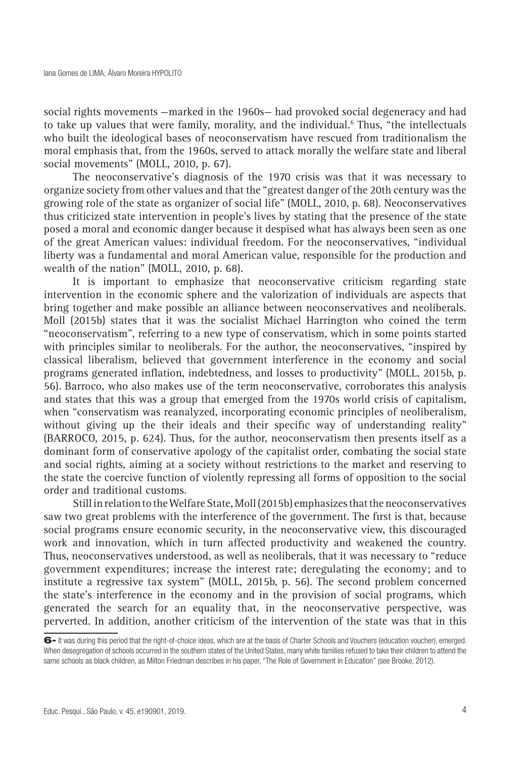social rights movements —marked in the 1960s— had provoked social degeneracy and had to take up values that were family, morality, and the individual.<sup>6</sup> Thus, "the intellectuals who built the ideological bases of neoconservatism have rescued from traditionalism the moral emphasis that, from the 1960s, served to attack morally the welfare state and liberal social movements" (MOLL, 2010, p. 67).

The neoconservative's diagnosis of the 1970 crisis was that it was necessary to organize society from other values and that the "greatest danger of the 20th century was the growing role of the state as organizer of social life" (MOLL, 2010, p. 68). Neoconservatives thus criticized state intervention in people's lives by stating that the presence of the state posed a moral and economic danger because it despised what has always been seen as one of the great American values: individual freedom. For the neoconservatives, "individual liberty was a fundamental and moral American value, responsible for the production and wealth of the nation" (MOLL, 2010, p. 68).

It is important to emphasize that neoconservative criticism regarding state intervention in the economic sphere and the valorization of individuals are aspects that bring together and make possible an alliance between neoconservatives and neoliberals. Moll (2015b) states that it was the socialist Michael Harrington who coined the term "neoconservatism", referring to a new type of conservatism, which in some points started with principles similar to neoliberals. For the author, the neoconservatives, "inspired by classical liberalism, believed that government interference in the economy and social programs generated inflation, indebtedness, and losses to productivity" (MOLL, 2015b, p. 56). Barroco, who also makes use of the term neoconservative, corroborates this analysis and states that this was a group that emerged from the 1970s world crisis of capitalism, when "conservatism was reanalyzed, incorporating economic principles of neoliberalism, without giving up the their ideals and their specific way of understanding reality" (BARROCO, 2015, p. 624). Thus, for the author, neoconservatism then presents itself as a dominant form of conservative apology of the capitalist order, combating the social state and social rights, aiming at a society without restrictions to the market and reserving to the state the coercive function of violently repressing all forms of opposition to the social order and traditional customs.

Still in relation to the Welfare State, Moll (2015b) emphasizes that the neoconservatives saw two great problems with the interference of the government. The first is that, because social programs ensure economic security, in the neoconservative view, this discouraged work and innovation, which in turn affected productivity and weakened the country. Thus, neoconservatives understood, as well as neoliberals, that it was necessary to "reduce government expenditures; increase the interest rate; deregulating the economy; and to institute a regressive tax system" (MOLL, 2015b, p. 56). The second problem concerned the state's interference in the economy and in the provision of social programs, which generated the search for an equality that, in the neoconservative perspective, was perverted. In addition, another criticism of the intervention of the state was that in this

<sup>6-</sup> It was during this period that the right-of-choice ideas, which are at the basis of Charter Schools and Vouchers (education voucher), emerged. When desegregation of schools occurred in the southern states of the United States, many white families refused to take their children to attend the same schools as black children, as Milton Friedman describes in his paper, "The Role of Government in Education" (see Brooke, 2012).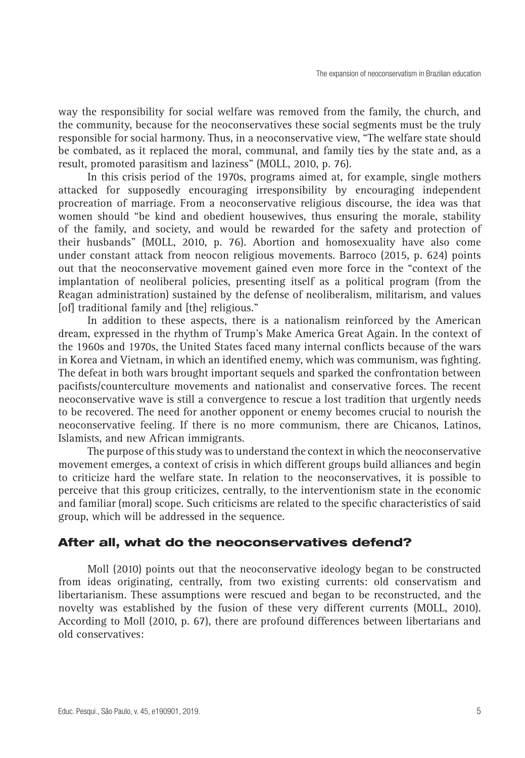way the responsibility for social welfare was removed from the family, the church, and the community, because for the neoconservatives these social segments must be the truly responsible for social harmony. Thus, in a neoconservative view, "The welfare state should be combated, as it replaced the moral, communal, and family ties by the state and, as a result, promoted parasitism and laziness" (MOLL, 2010, p. 76).

In this crisis period of the 1970s, programs aimed at, for example, single mothers attacked for supposedly encouraging irresponsibility by encouraging independent procreation of marriage. From a neoconservative religious discourse, the idea was that women should "be kind and obedient housewives, thus ensuring the morale, stability of the family, and society, and would be rewarded for the safety and protection of their husbands" (MOLL, 2010, p. 76). Abortion and homosexuality have also come under constant attack from neocon religious movements. Barroco (2015, p. 624) points out that the neoconservative movement gained even more force in the "context of the implantation of neoliberal policies, presenting itself as a political program (from the Reagan administration) sustained by the defense of neoliberalism, militarism, and values [of] traditional family and [the] religious."

In addition to these aspects, there is a nationalism reinforced by the American dream, expressed in the rhythm of Trump's Make America Great Again. In the context of the 1960s and 1970s, the United States faced many internal conflicts because of the wars in Korea and Vietnam, in which an identified enemy, which was communism, was fighting. The defeat in both wars brought important sequels and sparked the confrontation between pacifists/counterculture movements and nationalist and conservative forces. The recent neoconservative wave is still a convergence to rescue a lost tradition that urgently needs to be recovered. The need for another opponent or enemy becomes crucial to nourish the neoconservative feeling. If there is no more communism, there are Chicanos, Latinos, Islamists, and new African immigrants.

The purpose of this study was to understand the context in which the neoconservative movement emerges, a context of crisis in which different groups build alliances and begin to criticize hard the welfare state. In relation to the neoconservatives, it is possible to perceive that this group criticizes, centrally, to the interventionism state in the economic and familiar (moral) scope. Such criticisms are related to the specific characteristics of said group, which will be addressed in the sequence.

### After all, what do the neoconservatives defend?

Moll (2010) points out that the neoconservative ideology began to be constructed from ideas originating, centrally, from two existing currents: old conservatism and libertarianism. These assumptions were rescued and began to be reconstructed, and the novelty was established by the fusion of these very different currents (MOLL, 2010). According to Moll (2010, p. 67), there are profound differences between libertarians and old conservatives: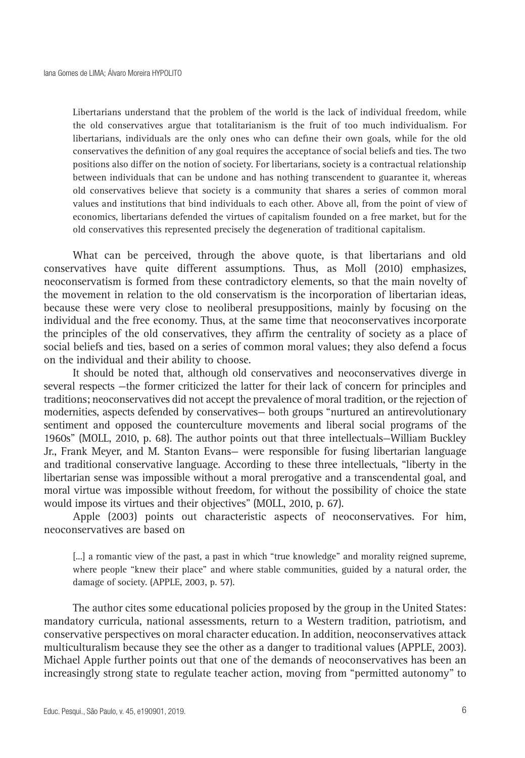Libertarians understand that the problem of the world is the lack of individual freedom, while the old conservatives argue that totalitarianism is the fruit of too much individualism. For libertarians, individuals are the only ones who can define their own goals, while for the old conservatives the definition of any goal requires the acceptance of social beliefs and ties. The two positions also differ on the notion of society. For libertarians, society is a contractual relationship between individuals that can be undone and has nothing transcendent to guarantee it, whereas old conservatives believe that society is a community that shares a series of common moral values and institutions that bind individuals to each other. Above all, from the point of view of economics, libertarians defended the virtues of capitalism founded on a free market, but for the old conservatives this represented precisely the degeneration of traditional capitalism.

What can be perceived, through the above quote, is that libertarians and old conservatives have quite different assumptions. Thus, as Moll (2010) emphasizes, neoconservatism is formed from these contradictory elements, so that the main novelty of the movement in relation to the old conservatism is the incorporation of libertarian ideas, because these were very close to neoliberal presuppositions, mainly by focusing on the individual and the free economy. Thus, at the same time that neoconservatives incorporate the principles of the old conservatives, they affirm the centrality of society as a place of social beliefs and ties, based on a series of common moral values; they also defend a focus on the individual and their ability to choose.

It should be noted that, although old conservatives and neoconservatives diverge in several respects —the former criticized the latter for their lack of concern for principles and traditions; neoconservatives did not accept the prevalence of moral tradition, or the rejection of modernities, aspects defended by conservatives— both groups "nurtured an antirevolutionary sentiment and opposed the counterculture movements and liberal social programs of the 1960s" (MOLL, 2010, p. 68). The author points out that three intellectuals—William Buckley Jr., Frank Meyer, and M. Stanton Evans— were responsible for fusing libertarian language and traditional conservative language. According to these three intellectuals, "liberty in the libertarian sense was impossible without a moral prerogative and a transcendental goal, and moral virtue was impossible without freedom, for without the possibility of choice the state would impose its virtues and their objectives" (MOLL, 2010, p. 67).

Apple (2003) points out characteristic aspects of neoconservatives. For him, neoconservatives are based on

[...] a romantic view of the past, a past in which "true knowledge" and morality reigned supreme, where people "knew their place" and where stable communities, guided by a natural order, the damage of society. (APPLE, 2003, p. 57).

The author cites some educational policies proposed by the group in the United States: mandatory curricula, national assessments, return to a Western tradition, patriotism, and conservative perspectives on moral character education. In addition, neoconservatives attack multiculturalism because they see the other as a danger to traditional values (APPLE, 2003). Michael Apple further points out that one of the demands of neoconservatives has been an increasingly strong state to regulate teacher action, moving from "permitted autonomy" to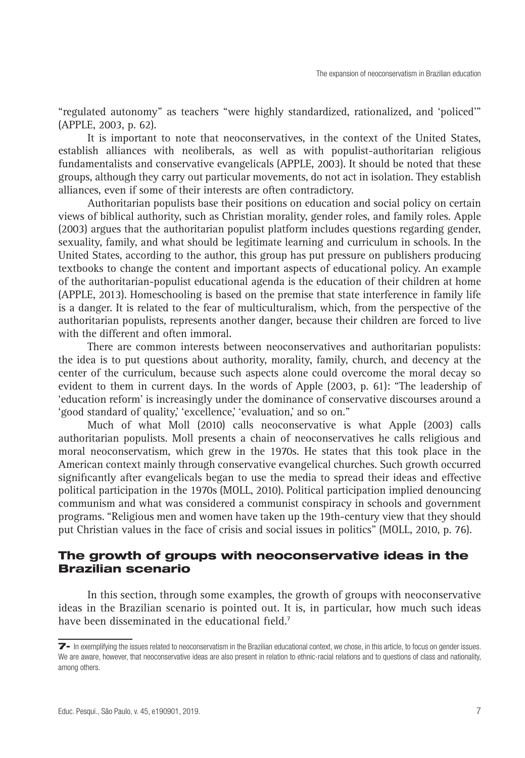"regulated autonomy" as teachers "were highly standardized, rationalized, and 'policed'" (APPLE, 2003, p. 62).

It is important to note that neoconservatives, in the context of the United States, establish alliances with neoliberals, as well as with populist-authoritarian religious fundamentalists and conservative evangelicals (APPLE, 2003). It should be noted that these groups, although they carry out particular movements, do not act in isolation. They establish alliances, even if some of their interests are often contradictory.

Authoritarian populists base their positions on education and social policy on certain views of biblical authority, such as Christian morality, gender roles, and family roles. Apple (2003) argues that the authoritarian populist platform includes questions regarding gender, sexuality, family, and what should be legitimate learning and curriculum in schools. In the United States, according to the author, this group has put pressure on publishers producing textbooks to change the content and important aspects of educational policy. An example of the authoritarian-populist educational agenda is the education of their children at home (APPLE, 2013). Homeschooling is based on the premise that state interference in family life is a danger. It is related to the fear of multiculturalism, which, from the perspective of the authoritarian populists, represents another danger, because their children are forced to live with the different and often immoral.

There are common interests between neoconservatives and authoritarian populists: the idea is to put questions about authority, morality, family, church, and decency at the center of the curriculum, because such aspects alone could overcome the moral decay so evident to them in current days. In the words of Apple (2003, p. 61): "The leadership of 'education reform' is increasingly under the dominance of conservative discourses around a 'good standard of quality,' 'excellence,' 'evaluation,' and so on."

Much of what Moll (2010) calls neoconservative is what Apple (2003) calls authoritarian populists. Moll presents a chain of neoconservatives he calls religious and moral neoconservatism, which grew in the 1970s. He states that this took place in the American context mainly through conservative evangelical churches. Such growth occurred significantly after evangelicals began to use the media to spread their ideas and effective political participation in the 1970s (MOLL, 2010). Political participation implied denouncing communism and what was considered a communist conspiracy in schools and government programs. "Religious men and women have taken up the 19th-century view that they should put Christian values in the face of crisis and social issues in politics" (MOLL, 2010, p. 76).

#### The growth of groups with neoconservative ideas in the Brazilian scenario

In this section, through some examples, the growth of groups with neoconservative ideas in the Brazilian scenario is pointed out. It is, in particular, how much such ideas have been disseminated in the educational field.<sup>7</sup>

<sup>7-</sup> In exemplifying the issues related to neoconservatism in the Brazilian educational context, we chose, in this article, to focus on gender issues. We are aware, however, that neoconservative ideas are also present in relation to ethnic-racial relations and to questions of class and nationality, among others.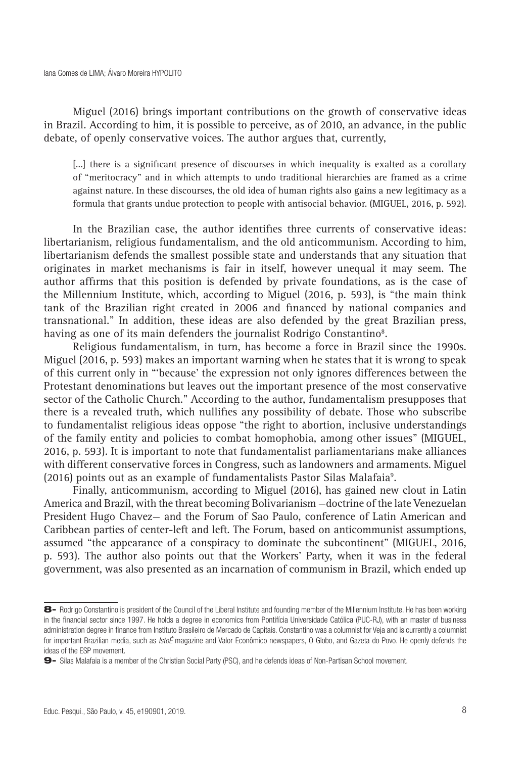Miguel (2016) brings important contributions on the growth of conservative ideas in Brazil. According to him, it is possible to perceive, as of 2010, an advance, in the public debate, of openly conservative voices. The author argues that, currently,

[...] there is a significant presence of discourses in which inequality is exalted as a corollary of "meritocracy" and in which attempts to undo traditional hierarchies are framed as a crime against nature. In these discourses, the old idea of human rights also gains a new legitimacy as a formula that grants undue protection to people with antisocial behavior. (MIGUEL, 2016, p. 592).

In the Brazilian case, the author identifies three currents of conservative ideas: libertarianism, religious fundamentalism, and the old anticommunism. According to him, libertarianism defends the smallest possible state and understands that any situation that originates in market mechanisms is fair in itself, however unequal it may seem. The author affirms that this position is defended by private foundations, as is the case of the Millennium Institute, which, according to Miguel (2016, p. 593), is "the main think tank of the Brazilian right created in 2006 and financed by national companies and transnational." In addition, these ideas are also defended by the great Brazilian press, having as one of its main defenders the journalist Rodrigo Constantino $^{\rm 8}$ .

Religious fundamentalism, in turn, has become a force in Brazil since the 1990s. Miguel (2016, p. 593) makes an important warning when he states that it is wrong to speak of this current only in "'because' the expression not only ignores differences between the Protestant denominations but leaves out the important presence of the most conservative sector of the Catholic Church." According to the author, fundamentalism presupposes that there is a revealed truth, which nullifies any possibility of debate. Those who subscribe to fundamentalist religious ideas oppose "the right to abortion, inclusive understandings of the family entity and policies to combat homophobia, among other issues" (MIGUEL, 2016, p. 593). It is important to note that fundamentalist parliamentarians make alliances with different conservative forces in Congress, such as landowners and armaments. Miguel (2016) points out as an example of fundamentalists Pastor Silas Malafaia9 .

Finally, anticommunism, according to Miguel (2016), has gained new clout in Latin America and Brazil, with the threat becoming Bolivarianism —doctrine of the late Venezuelan President Hugo Chavez— and the Forum of Sao Paulo, conference of Latin American and Caribbean parties of center-left and left. The Forum, based on anticommunist assumptions, assumed "the appearance of a conspiracy to dominate the subcontinent" (MIGUEL, 2016, p. 593). The author also points out that the Workers' Party, when it was in the federal government, was also presented as an incarnation of communism in Brazil, which ended up

<sup>8-</sup> Rodrigo Constantino is president of the Council of the Liberal Institute and founding member of the Millennium Institute. He has been working in the financial sector since 1997. He holds a degree in economics from Pontifícia Universidade Católica (PUC-RJ), with an master of business administration degree in finance from Instituto Brasileiro de Mercado de Capitais. Constantino was a columnist for Veja and is currently a columnist for important Brazilian media, such as *IstoÉ* magazine and Valor Econômico newspapers, O Globo, and Gazeta do Povo. He openly defends the ideas of the ESP movement.

<sup>9-</sup> Silas Malafaia is a member of the Christian Social Party (PSC), and he defends ideas of Non-Partisan School movement.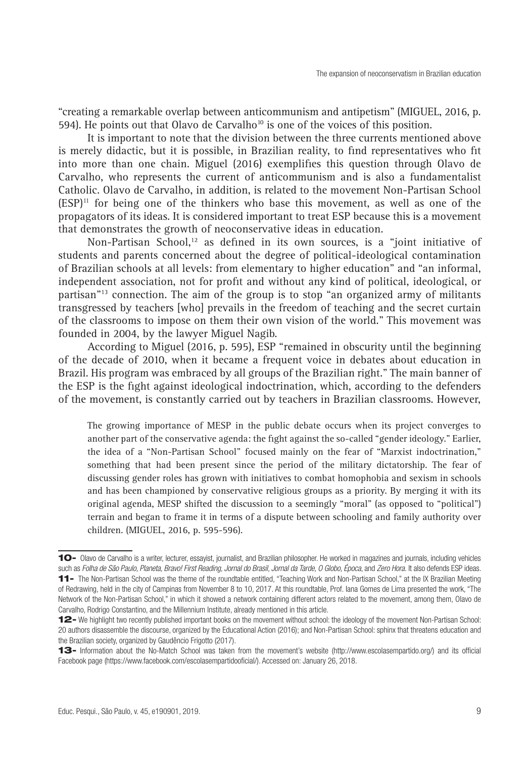"creating a remarkable overlap between anticommunism and antipetism" (MIGUEL, 2016, p. 594). He points out that Olavo de Carvalho<sup>10</sup> is one of the voices of this position.

It is important to note that the division between the three currents mentioned above is merely didactic, but it is possible, in Brazilian reality, to find representatives who fit into more than one chain. Miguel (2016) exemplifies this question through Olavo de Carvalho, who represents the current of anticommunism and is also a fundamentalist Catholic. Olavo de Carvalho, in addition, is related to the movement Non-Partisan School  $(ESP)^{11}$  for being one of the thinkers who base this movement, as well as one of the propagators of its ideas. It is considered important to treat ESP because this is a movement that demonstrates the growth of neoconservative ideas in education.

Non-Partisan School, $12$  as defined in its own sources, is a "joint initiative of students and parents concerned about the degree of political-ideological contamination of Brazilian schools at all levels: from elementary to higher education" and "an informal, independent association, not for profit and without any kind of political, ideological, or partisan"13 connection. The aim of the group is to stop "an organized army of militants transgressed by teachers [who] prevails in the freedom of teaching and the secret curtain of the classrooms to impose on them their own vision of the world." This movement was founded in 2004, by the lawyer Miguel Nagib.

According to Miguel (2016, p. 595), ESP "remained in obscurity until the beginning of the decade of 2010, when it became a frequent voice in debates about education in Brazil. His program was embraced by all groups of the Brazilian right." The main banner of the ESP is the fight against ideological indoctrination, which, according to the defenders of the movement, is constantly carried out by teachers in Brazilian classrooms. However,

The growing importance of MESP in the public debate occurs when its project converges to another part of the conservative agenda: the fight against the so-called "gender ideology." Earlier, the idea of a "Non-Partisan School" focused mainly on the fear of "Marxist indoctrination," something that had been present since the period of the military dictatorship. The fear of discussing gender roles has grown with initiatives to combat homophobia and sexism in schools and has been championed by conservative religious groups as a priority. By merging it with its original agenda, MESP shifted the discussion to a seemingly "moral" (as opposed to "political") terrain and began to frame it in terms of a dispute between schooling and family authority over children. (MIGUEL, 2016, p. 595-596).

<sup>10-</sup> Olavo de Carvalho is a writer, lecturer, essayist, journalist, and Brazilian philosopher. He worked in magazines and journals, including vehicles such as *Folha de São Paulo, Planeta, Bravo! First Reading, Jornal do Brasil, Jornal da Tarde, O Globo, Época*, and *Zero Hora.* It also defends ESP ideas. 11- The Non-Partisan School was the theme of the roundtable entitled, "Teaching Work and Non-Partisan School," at the IX Brazilian Meeting of Redrawing, held in the city of Campinas from November 8 to 10, 2017. At this roundtable, Prof. Iana Gomes de Lima presented the work, "The Network of the Non-Partisan School," in which it showed a network containing different actors related to the movement, among them, Olavo de Carvalho, Rodrigo Constantino, and the Millennium Institute, already mentioned in this article.

<sup>12-</sup> We highlight two recently published important books on the movement without school: the ideology of the movement Non-Partisan School: 20 authors disassemble the discourse, organized by the Educational Action (2016); and Non-Partisan School: sphinx that threatens education and the Brazilian society, organized by Gaudêncio Frigotto (2017).

<sup>13-</sup> Information about the No-Match School was taken from the movement's website (http://www.escolasempartido.org/) and its official Facebook page (https://www.facebook.com/escolasempartidooficial/). Accessed on: January 26, 2018.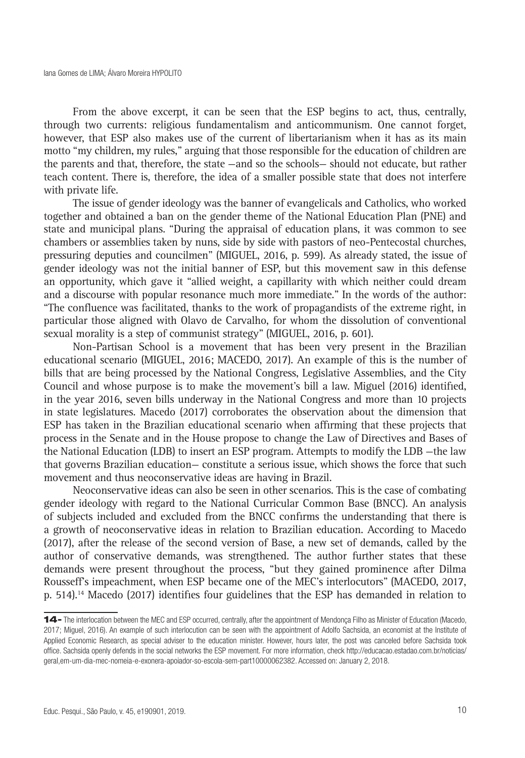From the above excerpt, it can be seen that the ESP begins to act, thus, centrally, through two currents: religious fundamentalism and anticommunism. One cannot forget, however, that ESP also makes use of the current of libertarianism when it has as its main motto "my children, my rules," arguing that those responsible for the education of children are the parents and that, therefore, the state —and so the schools— should not educate, but rather teach content. There is, therefore, the idea of a smaller possible state that does not interfere with private life.

The issue of gender ideology was the banner of evangelicals and Catholics, who worked together and obtained a ban on the gender theme of the National Education Plan (PNE) and state and municipal plans. "During the appraisal of education plans, it was common to see chambers or assemblies taken by nuns, side by side with pastors of neo-Pentecostal churches, pressuring deputies and councilmen" (MIGUEL, 2016, p. 599). As already stated, the issue of gender ideology was not the initial banner of ESP, but this movement saw in this defense an opportunity, which gave it "allied weight, a capillarity with which neither could dream and a discourse with popular resonance much more immediate." In the words of the author: "The confluence was facilitated, thanks to the work of propagandists of the extreme right, in particular those aligned with Olavo de Carvalho, for whom the dissolution of conventional sexual morality is a step of communist strategy" (MIGUEL, 2016, p. 601).

Non-Partisan School is a movement that has been very present in the Brazilian educational scenario (MIGUEL, 2016; MACEDO, 2017). An example of this is the number of bills that are being processed by the National Congress, Legislative Assemblies, and the City Council and whose purpose is to make the movement's bill a law. Miguel (2016) identified, in the year 2016, seven bills underway in the National Congress and more than 10 projects in state legislatures. Macedo (2017) corroborates the observation about the dimension that ESP has taken in the Brazilian educational scenario when affirming that these projects that process in the Senate and in the House propose to change the Law of Directives and Bases of the National Education (LDB) to insert an ESP program. Attempts to modify the LDB —the law that governs Brazilian education— constitute a serious issue, which shows the force that such movement and thus neoconservative ideas are having in Brazil.

Neoconservative ideas can also be seen in other scenarios. This is the case of combating gender ideology with regard to the National Curricular Common Base (BNCC). An analysis of subjects included and excluded from the BNCC confirms the understanding that there is a growth of neoconservative ideas in relation to Brazilian education. According to Macedo (2017), after the release of the second version of Base, a new set of demands, called by the author of conservative demands, was strengthened. The author further states that these demands were present throughout the process, "but they gained prominence after Dilma Rousseff's impeachment, when ESP became one of the MEC's interlocutors" (MACEDO, 2017, p. 514).14 Macedo (2017) identifies four guidelines that the ESP has demanded in relation to

<sup>14-</sup> The interlocation between the MEC and ESP occurred, centrally, after the appointment of Mendonça Filho as Minister of Education (Macedo, 2017; Miguel, 2016). An example of such interlocution can be seen with the appointment of Adolfo Sachsida, an economist at the Institute of Applied Economic Research, as special adviser to the education minister. However, hours later, the post was canceled before Sachsida took office. Sachsida openly defends in the social networks the ESP movement. For more information, check http://educacao.estadao.com.br/noticias/ geral,em-um-dia-mec-nomeia-e-exonera-apoiador-so-escola-sem-part10000062382. Accessed on: January 2, 2018.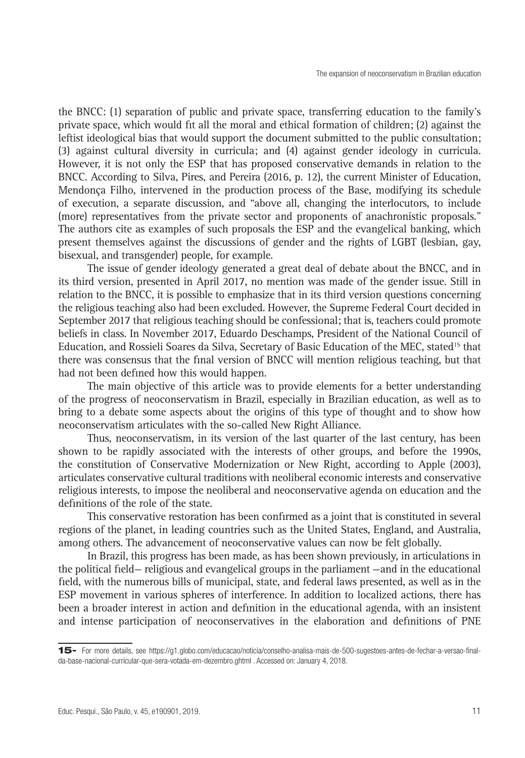the BNCC: (1) separation of public and private space, transferring education to the family's private space, which would fit all the moral and ethical formation of children; (2) against the leftist ideological bias that would support the document submitted to the public consultation; (3) against cultural diversity in curricula; and (4) against gender ideology in curricula. However, it is not only the ESP that has proposed conservative demands in relation to the BNCC. According to Silva, Pires, and Pereira (2016, p. 12), the current Minister of Education, Mendonça Filho, intervened in the production process of the Base, modifying its schedule of execution, a separate discussion, and "above all, changing the interlocutors, to include (more) representatives from the private sector and proponents of anachronistic proposals." The authors cite as examples of such proposals the ESP and the evangelical banking, which present themselves against the discussions of gender and the rights of LGBT (lesbian, gay, bisexual, and transgender) people, for example.

The issue of gender ideology generated a great deal of debate about the BNCC, and in its third version, presented in April 2017, no mention was made of the gender issue. Still in relation to the BNCC, it is possible to emphasize that in its third version questions concerning the religious teaching also had been excluded. However, the Supreme Federal Court decided in September 2017 that religious teaching should be confessional; that is, teachers could promote beliefs in class. In November 2017, Eduardo Deschamps, President of the National Council of Education, and Rossieli Soares da Silva, Secretary of Basic Education of the MEC, stated<sup>15</sup> that there was consensus that the final version of BNCC will mention religious teaching, but that had not been defined how this would happen.

The main objective of this article was to provide elements for a better understanding of the progress of neoconservatism in Brazil, especially in Brazilian education, as well as to bring to a debate some aspects about the origins of this type of thought and to show how neoconservatism articulates with the so-called New Right Alliance.

Thus, neoconservatism, in its version of the last quarter of the last century, has been shown to be rapidly associated with the interests of other groups, and before the 1990s, the constitution of Conservative Modernization or New Right, according to Apple (2003), articulates conservative cultural traditions with neoliberal economic interests and conservative religious interests, to impose the neoliberal and neoconservative agenda on education and the definitions of the role of the state.

This conservative restoration has been confirmed as a joint that is constituted in several regions of the planet, in leading countries such as the United States, England, and Australia, among others. The advancement of neoconservative values can now be felt globally.

In Brazil, this progress has been made, as has been shown previously, in articulations in the political field— religious and evangelical groups in the parliament —and in the educational field, with the numerous bills of municipal, state, and federal laws presented, as well as in the ESP movement in various spheres of interference. In addition to localized actions, there has been a broader interest in action and definition in the educational agenda, with an insistent and intense participation of neoconservatives in the elaboration and definitions of PNE

<sup>15-</sup> For more details, see https://g1.globo.com/educacao/noticia/conselho-analisa-mais-de-500-sugestoes-antes-de-fechar-a-versao-finalda-base-nacional-curricular-que-sera-votada-em-dezembro.ghtml . Accessed on: January 4, 2018.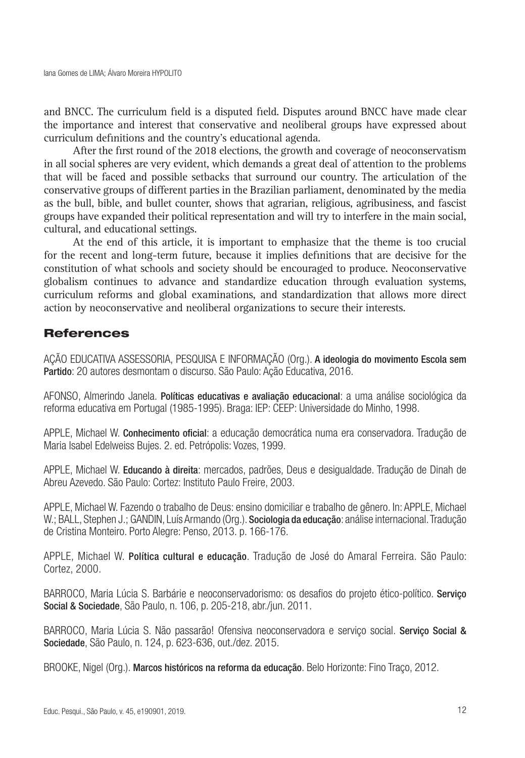and BNCC. The curriculum field is a disputed field. Disputes around BNCC have made clear the importance and interest that conservative and neoliberal groups have expressed about curriculum definitions and the country's educational agenda.

After the first round of the 2018 elections, the growth and coverage of neoconservatism in all social spheres are very evident, which demands a great deal of attention to the problems that will be faced and possible setbacks that surround our country. The articulation of the conservative groups of different parties in the Brazilian parliament, denominated by the media as the bull, bible, and bullet counter, shows that agrarian, religious, agribusiness, and fascist groups have expanded their political representation and will try to interfere in the main social, cultural, and educational settings.

At the end of this article, it is important to emphasize that the theme is too crucial for the recent and long-term future, because it implies definitions that are decisive for the constitution of what schools and society should be encouraged to produce. Neoconservative globalism continues to advance and standardize education through evaluation systems, curriculum reforms and global examinations, and standardization that allows more direct action by neoconservative and neoliberal organizations to secure their interests.

# References

AÇÃO EDUCATIVA ASSESSORIA, PESQUISA E INFORMAÇÃO (Org.). A ideologia do movimento Escola sem Partido: 20 autores desmontam o discurso. São Paulo: Ação Educativa, 2016.

AFONSO, Almerindo Janela. Políticas educativas e avaliação educacional: a uma análise sociológica da reforma educativa em Portugal (1985-1995). Braga: IEP: CEEP: Universidade do Minho, 1998.

APPLE, Michael W. Conhecimento oficial: a educação democrática numa era conservadora. Tradução de Maria Isabel Edelweiss Bujes. 2. ed. Petrópolis: Vozes, 1999.

APPLE, Michael W. Educando à direita: mercados, padrões, Deus e desigualdade. Tradução de Dinah de Abreu Azevedo. São Paulo: Cortez: Instituto Paulo Freire, 2003.

APPLE, Michael W. Fazendo o trabalho de Deus: ensino domiciliar e trabalho de gênero. In: APPLE, Michael W.; BALL, Stephen J.; GANDIN, Luís Armando (Org.). Sociologia da educação: análise internacional. Tradução de Cristina Monteiro. Porto Alegre: Penso, 2013. p. 166-176.

APPLE, Michael W. Política cultural e educação. Tradução de José do Amaral Ferreira. São Paulo: Cortez, 2000.

BARROCO, Maria Lúcia S. Barbárie e neoconservadorismo: os desafios do projeto ético-político. Serviço Social & Sociedade, São Paulo, n. 106, p. 205-218, abr./jun. 2011.

BARROCO, Maria Lúcia S. Não passarão! Ofensiva neoconservadora e serviço social. Serviço Social & Sociedade, São Paulo, n. 124, p. 623-636, out./dez. 2015.

BROOKE, Nigel (Org.). Marcos históricos na reforma da educação. Belo Horizonte: Fino Traço, 2012.